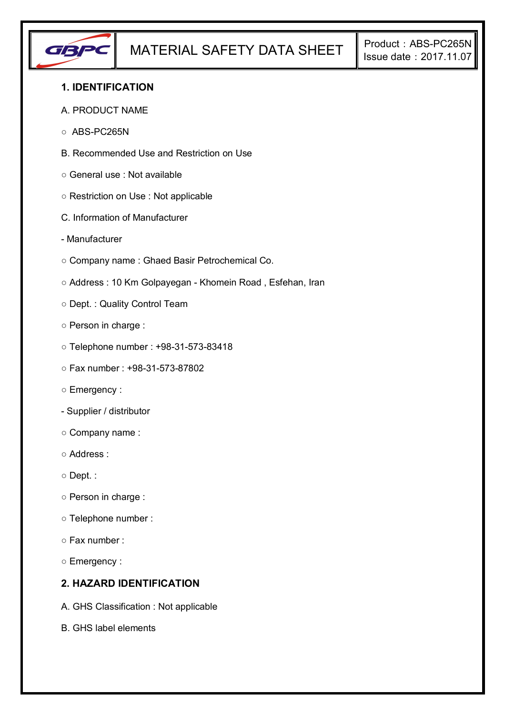

### **1. IDENTIFICATION**

#### A. PRODUCT NAME

- ABS-PC265N
- B. Recommended Use and Restriction on Use
- General use : Not available
- Restriction on Use : Not applicable
- C. Information of Manufacturer
- Manufacturer
- Company name : Ghaed Basir Petrochemical Co.
- Address : 10 Km Golpayegan Khomein Road , Esfehan, Iran
- Dept. : Quality Control Team
- Person in charge :
- Telephone number : +98-31-573-83418
- Fax number : +98-31-573-87802
- Emergency :
- Supplier / distributor
- Company name :
- Address :
- Dept. :
- Person in charge :
- Telephone number :
- Fax number :
- Emergency :

### **2. HAZARD IDENTIFICATION**

- A. GHS Classification : Not applicable
- B. GHS label elements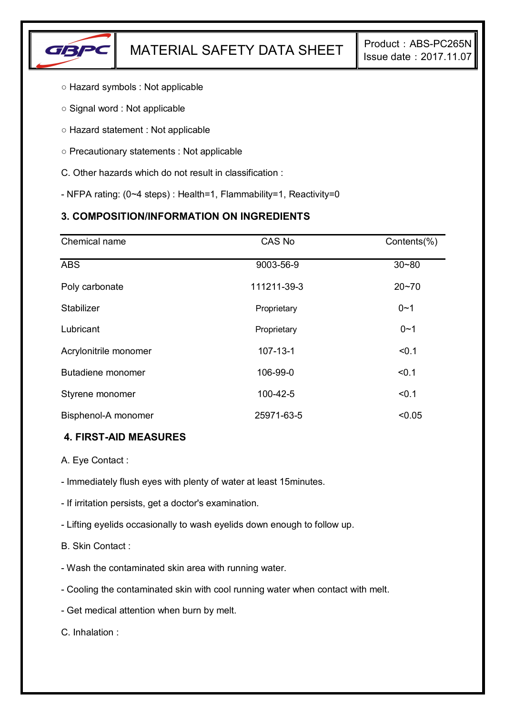

- Hazard symbols : Not applicable
- Signal word : Not applicable
- Hazard statement : Not applicable
- Precautionary statements : Not applicable
- C. Other hazards which do not result in classification :
- NFPA rating: (0~4 steps) : Health=1, Flammability=1, Reactivity=0

# **3. COMPOSITION/INFORMATION ON INGREDIENTS**

| Chemical name         | CAS No         | Contents(%) |
|-----------------------|----------------|-------------|
| <b>ABS</b>            | 9003-56-9      | $30 - 80$   |
| Poly carbonate        | 111211-39-3    | $20 - 70$   |
| Stabilizer            | Proprietary    | $0 - 1$     |
| Lubricant             | Proprietary    | $0 - 1$     |
| Acrylonitrile monomer | $107 - 13 - 1$ | < 0.1       |
| Butadiene monomer     | 106-99-0       | < 0.1       |
| Styrene monomer       | 100-42-5       | < 0.1       |
| Bisphenol-A monomer   | 25971-63-5     | < 0.05      |

### **4. FIRST-AID MEASURES**

- A. Eye Contact :
- Immediately flush eyes with plenty of water at least 15minutes.
- If irritation persists, get a doctor's examination.
- Lifting eyelids occasionally to wash eyelids down enough to follow up.
- B. Skin Contact :
- Wash the contaminated skin area with running water.
- Cooling the contaminated skin with cool running water when contact with melt.
- Get medical attention when burn by melt.

C. Inhalation :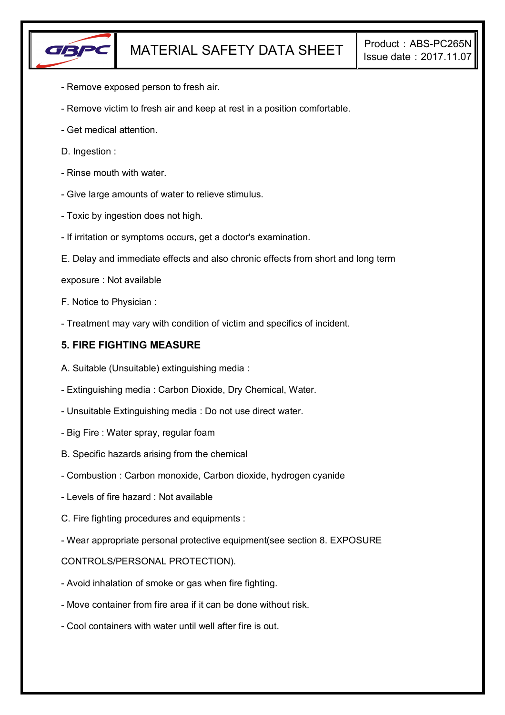

- Remove exposed person to fresh air.
- Remove victim to fresh air and keep at rest in a position comfortable.
- Get medical attention.
- D. Ingestion :
- Rinse mouth with water.
- Give large amounts of water to relieve stimulus.
- Toxic by ingestion does not high.
- If irritation or symptoms occurs, get a doctor's examination.
- E. Delay and immediate effects and also chronic effects from short and long term
- exposure : Not available
- F. Notice to Physician :
- Treatment may vary with condition of victim and specifics of incident.

#### **5. FIRE FIGHTING MEASURE**

- A. Suitable (Unsuitable) extinguishing media :
- Extinguishing media : Carbon Dioxide, Dry Chemical, Water.
- Unsuitable Extinguishing media : Do not use direct water.
- Big Fire : Water spray, regular foam
- B. Specific hazards arising from the chemical
- Combustion : Carbon monoxide, Carbon dioxide, hydrogen cyanide
- Levels of fire hazard : Not available
- C. Fire fighting procedures and equipments :
- Wear appropriate personal protective equipment(see section 8. EXPOSURE

#### CONTROLS/PERSONAL PROTECTION).

- Avoid inhalation of smoke or gas when fire fighting.
- Move container from fire area if it can be done without risk.
- Cool containers with water until well after fire is out.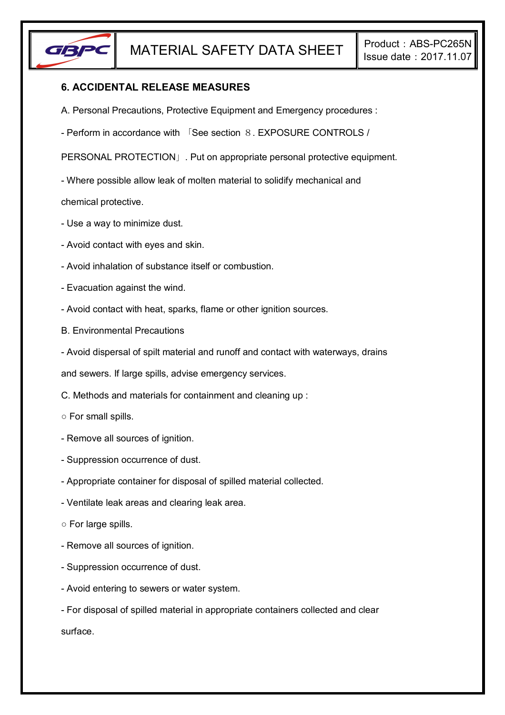

### **6. ACCIDENTAL RELEASE MEASURES**

- A. Personal Precautions, Protective Equipment and Emergency procedures :
- Perform in accordance with 「See section 8. EXPOSURE CONTROLS /

PERSONAL PROTECTION」. Put on appropriate personal protective equipment.

- Where possible allow leak of molten material to solidify mechanical and

chemical protective.

- Use a way to minimize dust.
- Avoid contact with eyes and skin.
- Avoid inhalation of substance itself or combustion.
- Evacuation against the wind.
- Avoid contact with heat, sparks, flame or other ignition sources.
- B. Environmental Precautions
- Avoid dispersal of spilt material and runoff and contact with waterways, drains

and sewers. If large spills, advise emergency services.

- C. Methods and materials for containment and cleaning up :
- For small spills.
- Remove all sources of ignition.
- Suppression occurrence of dust.
- Appropriate container for disposal of spilled material collected.
- Ventilate leak areas and clearing leak area.
- For large spills.
- Remove all sources of ignition.
- Suppression occurrence of dust.
- Avoid entering to sewers or water system.
- For disposal of spilled material in appropriate containers collected and clear surface.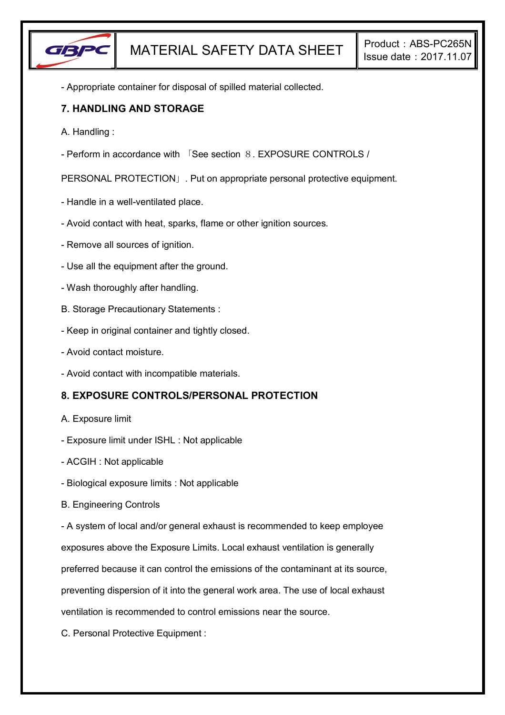

- Appropriate container for disposal of spilled material collected.

### **7. HANDLING AND STORAGE**

- A. Handling :
- Perform in accordance with 「See section 8. EXPOSURE CONTROLS /

PERSONAL PROTECTION」. Put on appropriate personal protective equipment.

- Handle in a well-ventilated place.
- Avoid contact with heat, sparks, flame or other ignition sources.
- Remove all sources of ignition.
- Use all the equipment after the ground.
- Wash thoroughly after handling.
- B. Storage Precautionary Statements :
- Keep in original container and tightly closed.
- Avoid contact moisture.
- Avoid contact with incompatible materials.

# **8. EXPOSURE CONTROLS/PERSONAL PROTECTION**

- A. Exposure limit
- Exposure limit under ISHL : Not applicable
- ACGIH : Not applicable
- Biological exposure limits : Not applicable
- B. Engineering Controls

- A system of local and/or general exhaust is recommended to keep employee

exposures above the Exposure Limits. Local exhaust ventilation is generally

preferred because it can control the emissions of the contaminant at its source,

preventing dispersion of it into the general work area. The use of local exhaust

ventilation is recommended to control emissions near the source.

C. Personal Protective Equipment :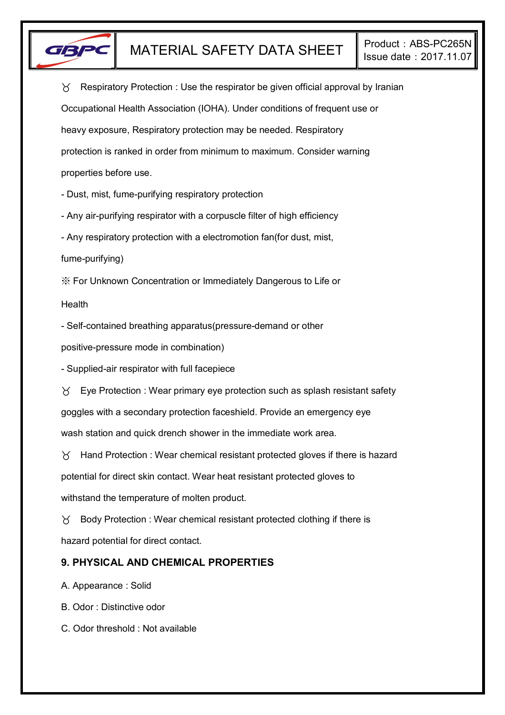

 $\gamma$  Respiratory Protection : Use the respirator be given official approval by Iranian Occupational Health Association (IOHA). Under conditions of frequent use or heavy exposure, Respiratory protection may be needed. Respiratory protection is ranked in order from minimum to maximum. Consider warning properties before use.

- Dust, mist, fume-purifying respiratory protection

- Any air-purifying respirator with a corpuscle filter of high efficiency

- Any respiratory protection with a electromotion fan(for dust, mist,

fume-purifying)

※ For Unknown Concentration or Immediately Dangerous to Life or

Health

- Self-contained breathing apparatus(pressure-demand or other

positive-pressure mode in combination)

- Supplied-air respirator with full facepiece

 $\forall$  Eye Protection : Wear primary eye protection such as splash resistant safety goggles with a secondary protection faceshield. Provide an emergency eye wash station and quick drench shower in the immediate work area.

 $\gamma$  Hand Protection : Wear chemical resistant protected gloves if there is hazard potential for direct skin contact. Wear heat resistant protected gloves to withstand the temperature of molten product.

 $\gamma$  Body Protection : Wear chemical resistant protected clothing if there is hazard potential for direct contact.

# **9. PHYSICAL AND CHEMICAL PROPERTIES**

A. Appearance : Solid

B. Odor : Distinctive odor

C. Odor threshold : Not available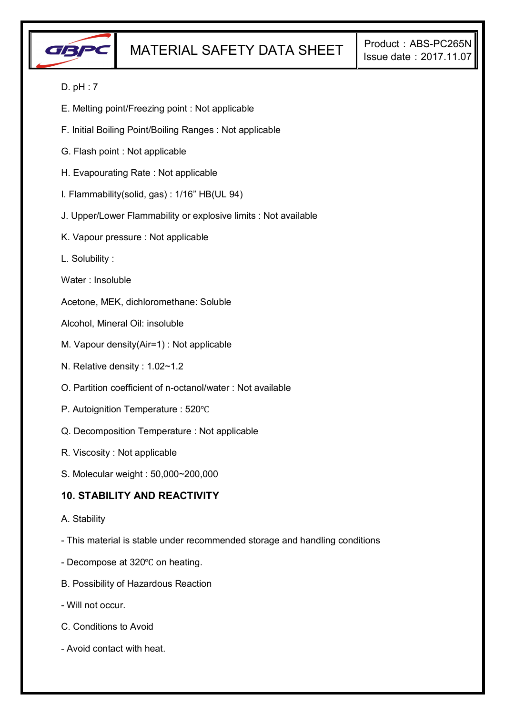

### D. pH : 7

- E. Melting point/Freezing point : Not applicable
- F. Initial Boiling Point/Boiling Ranges : Not applicable
- G. Flash point : Not applicable
- H. Evapourating Rate : Not applicable
- I. Flammability(solid, gas) : 1/16" HB(UL 94)
- J. Upper/Lower Flammability or explosive limits : Not available
- K. Vapour pressure : Not applicable
- L. Solubility :
- Water : Insoluble
- Acetone, MEK, dichloromethane: Soluble
- Alcohol, Mineral Oil: insoluble
- M. Vapour density(Air=1) : Not applicable
- N. Relative density : 1.02~1.2
- O. Partition coefficient of n-octanol/water : Not available
- P. Autoignition Temperature : 520℃
- Q. Decomposition Temperature : Not applicable
- R. Viscosity : Not applicable
- S. Molecular weight : 50,000~200,000

### **10. STABILITY AND REACTIVITY**

- A. Stability
- This material is stable under recommended storage and handling conditions
- Decompose at 320℃ on heating.
- B. Possibility of Hazardous Reaction
- Will not occur.
- C. Conditions to Avoid
- Avoid contact with heat.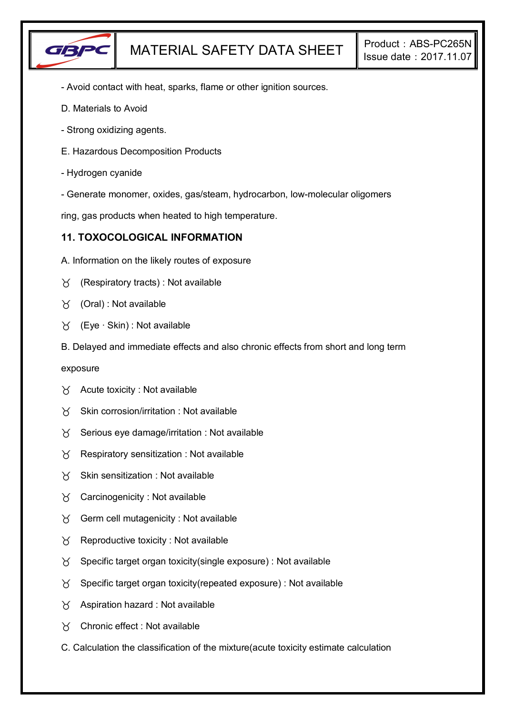

- Avoid contact with heat, sparks, flame or other ignition sources.
- D. Materials to Avoid
- Strong oxidizing agents.
- E. Hazardous Decomposition Products
- Hydrogen cyanide
- Generate monomer, oxides, gas/steam, hydrocarbon, low-molecular oligomers

ring, gas products when heated to high temperature.

### **11. TOXOCOLOGICAL INFORMATION**

- A. Information on the likely routes of exposure
- $\gamma$  (Respiratory tracts) : Not available
- $\forall$  (Oral): Not available
- (Eye ∙ Skin) : Not available
- B. Delayed and immediate effects and also chronic effects from short and long term

exposure

- $\forall$  Acute toxicity : Not available
- $X$  Skin corrosion/irritation : Not available
- $\chi$  Serious eye damage/irritation : Not available
- $\chi$  Respiratory sensitization : Not available
- $X$  Skin sensitization : Not available
- $\gamma$  Carcinogenicity : Not available
- $\gamma$  Germ cell mutagenicity : Not available
- $\gamma$  Reproductive toxicity : Not available
- $\gamma$  Specific target organ toxicity(single exposure) : Not available
- $\gamma$  Specific target organ toxicity (repeated exposure) : Not available
- $\gamma$  Aspiration hazard : Not available
- Chronic effect : Not available
- C. Calculation the classification of the mixture(acute toxicity estimate calculation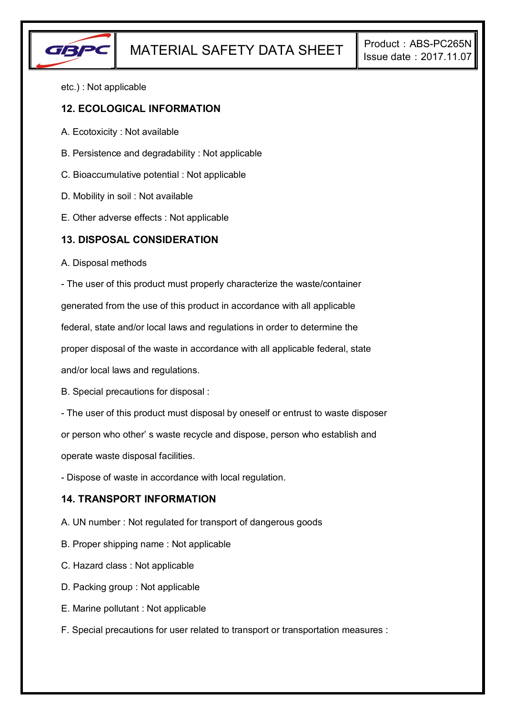

etc.) : Not applicable

#### **12. ECOLOGICAL INFORMATION**

- A. Ecotoxicity : Not available
- B. Persistence and degradability : Not applicable
- C. Bioaccumulative potential : Not applicable
- D. Mobility in soil : Not available
- E. Other adverse effects : Not applicable

#### **13. DISPOSAL CONSIDERATION**

A. Disposal methods

- The user of this product must properly characterize the waste/container

generated from the use of this product in accordance with all applicable

federal, state and/or local laws and regulations in order to determine the

proper disposal of the waste in accordance with all applicable federal, state

and/or local laws and regulations.

B. Special precautions for disposal :

- The user of this product must disposal by oneself or entrust to waste disposer

or person who other' s waste recycle and dispose, person who establish and

operate waste disposal facilities.

- Dispose of waste in accordance with local regulation.

### **14. TRANSPORT INFORMATION**

- A. UN number : Not regulated for transport of dangerous goods
- B. Proper shipping name : Not applicable
- C. Hazard class : Not applicable
- D. Packing group : Not applicable
- E. Marine pollutant : Not applicable
- F. Special precautions for user related to transport or transportation measures :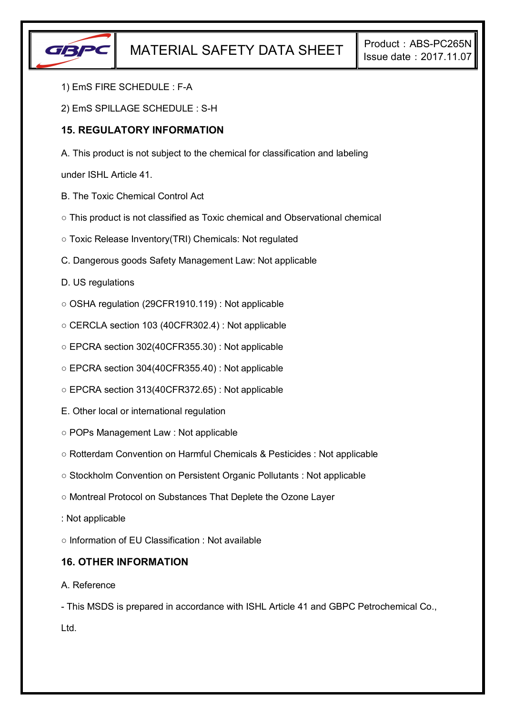

- 1) EmS FIRE SCHEDULE : F-A
- 2) EmS SPILLAGE SCHEDULE : S-H

### **15. REGULATORY INFORMATION**

A. This product is not subject to the chemical for classification and labeling

under ISHL Article 41.

- B. The Toxic Chemical Control Act
- This product is not classified as Toxic chemical and Observational chemical
- Toxic Release Inventory(TRI) Chemicals: Not regulated
- C. Dangerous goods Safety Management Law: Not applicable
- D. US regulations
- OSHA regulation (29CFR1910.119) : Not applicable
- CERCLA section 103 (40CFR302.4) : Not applicable
- EPCRA section 302(40CFR355.30) : Not applicable
- EPCRA section 304(40CFR355.40) : Not applicable
- EPCRA section 313(40CFR372.65) : Not applicable
- E. Other local or international regulation
- POPs Management Law : Not applicable
- Rotterdam Convention on Harmful Chemicals & Pesticides : Not applicable
- Stockholm Convention on Persistent Organic Pollutants : Not applicable
- Montreal Protocol on Substances That Deplete the Ozone Layer
- : Not applicable

○ Information of EU Classification : Not available

### **16. OTHER INFORMATION**

#### A. Reference

- This MSDS is prepared in accordance with ISHL Article 41 and GBPC Petrochemical Co., Ltd.